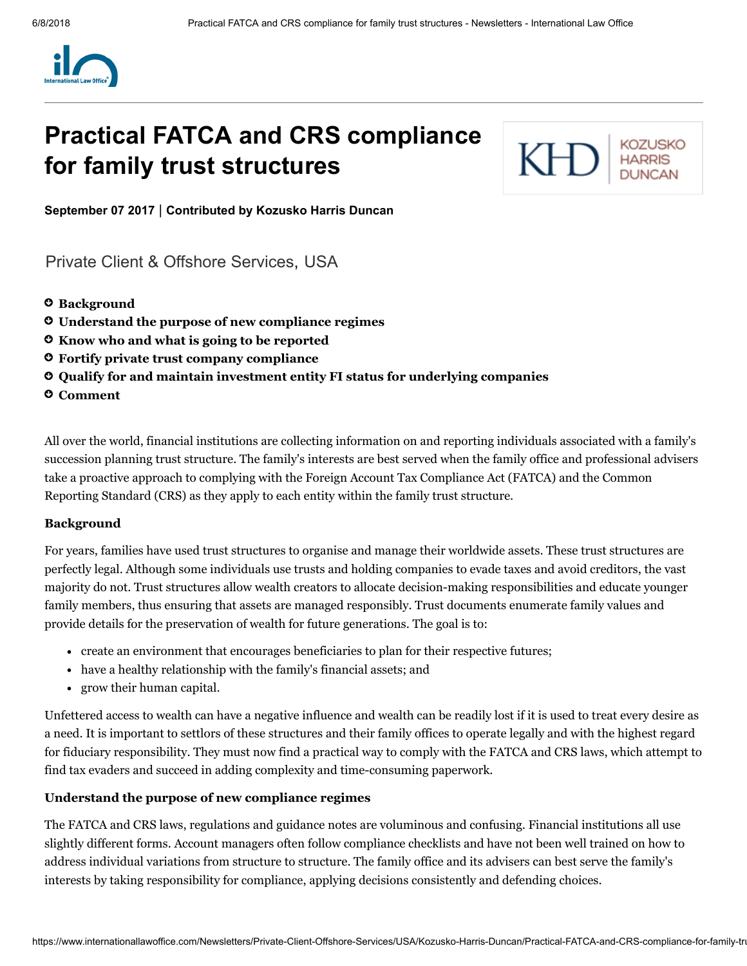

# Practical FATCA and CRS compliance for family trust structures



September 07 2017 | Contributed by [Kozusko](https://www.internationallawoffice.com/Directory/Kozusko-Harris-Duncan/New-York-NY) Harris Duncan

[Private Client & Offshore Services,](https://www.internationallawoffice.com/Search?at=Updates&cfn=Kozusko+Harris+Duncan&ws=Private+Client+%26+Offshore+Services) [USA](https://www.internationallawoffice.com/Search?at=Updates&cfn=Kozusko+Harris+Duncan&js=USA)

- **O** [Background](#page-0-0)
- [Understand](#page-0-1) the purpose of new compliance regimes
- Know who and what is going to be [reported](#page-1-0)
- Fortify private trust company [compliance](#page-2-0)
- $\mathsf{\circ}\,$  Qualify for and maintain [investment](#page-2-1) entity FI status for underlying companies
- **O** [Comment](#page-4-0)

All over the world, financial institutions are collecting information on and reporting individuals associated with a family's succession planning trust structure. The family's interests are best served when the family office and professional advisers take a proactive approach to complying with the Foreign Account Tax Compliance Act (FATCA) and the Common Reporting Standard (CRS) as they apply to each entity within the family trust structure.

## <span id="page-0-0"></span>Background

For years, families have used trust structures to organise and manage their worldwide assets. These trust structures are perfectly legal. Although some individuals use trusts and holding companies to evade taxes and avoid creditors, the vast majority do not. Trust structures allow wealth creators to allocate decision-making responsibilities and educate younger family members, thus ensuring that assets are managed responsibly. Trust documents enumerate family values and provide details for the preservation of wealth for future generations. The goal is to:

- create an environment that encourages beneficiaries to plan for their respective futures;
- have a healthy relationship with the family's financial assets; and
- grow their human capital.

Unfettered access to wealth can have a negative influence and wealth can be readily lost if it is used to treat every desire as a need. It is important to settlors of these structures and their family offices to operate legally and with the highest regard for fiduciary responsibility. They must now find a practical way to comply with the FATCA and CRS laws, which attempt to find tax evaders and succeed in adding complexity and time-consuming paperwork.

## <span id="page-0-1"></span>Understand the purpose of new compliance regimes

The FATCA and CRS laws, regulations and guidance notes are voluminous and confusing. Financial institutions all use slightly different forms. Account managers often follow compliance checklists and have not been well trained on how to address individual variations from structure to structure. The family office and its advisers can best serve the family's interests by taking responsibility for compliance, applying decisions consistently and defending choices.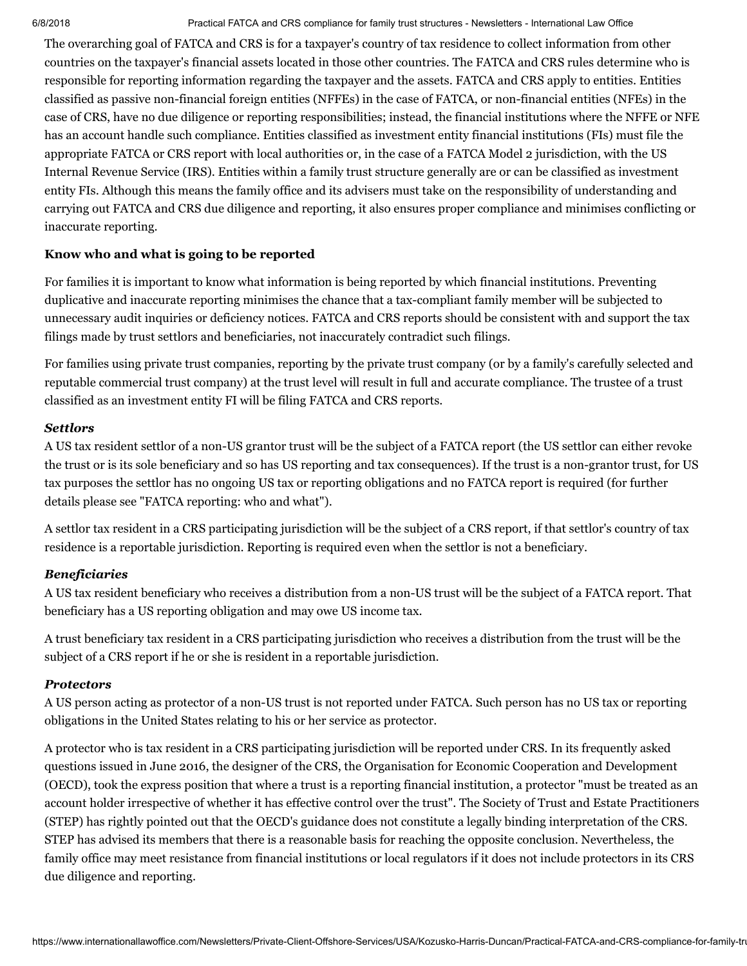The overarching goal of FATCA and CRS is for a taxpayer's country of tax residence to collect information from other countries on the taxpayer's financial assets located in those other countries. The FATCA and CRS rules determine who is responsible for reporting information regarding the taxpayer and the assets. FATCA and CRS apply to entities. Entities classified as passive non-financial foreign entities (NFFEs) in the case of FATCA, or non-financial entities (NFEs) in the case of CRS, have no due diligence or reporting responsibilities; instead, the financial institutions where the NFFE or NFE has an account handle such compliance. Entities classified as investment entity financial institutions (FIs) must file the appropriate FATCA or CRS report with local authorities or, in the case of a FATCA Model 2 jurisdiction, with the US Internal Revenue Service (IRS). Entities within a family trust structure generally are or can be classified as investment entity FIs. Although this means the family office and its advisers must take on the responsibility of understanding and carrying out FATCA and CRS due diligence and reporting, it also ensures proper compliance and minimises conflicting or inaccurate reporting.

## <span id="page-1-0"></span>Know who and what is going to be reported

For families it is important to know what information is being reported by which financial institutions. Preventing duplicative and inaccurate reporting minimises the chance that a tax-compliant family member will be subjected to unnecessary audit inquiries or deficiency notices. FATCA and CRS reports should be consistent with and support the tax filings made by trust settlors and beneficiaries, not inaccurately contradict such filings.

For families using private trust companies, reporting by the private trust company (or by a family's carefully selected and reputable commercial trust company) at the trust level will result in full and accurate compliance. The trustee of a trust classified as an investment entity FI will be filing FATCA and CRS reports.

## *Settlors*

A US tax resident settlor of a non-US grantor trust will be the subject of a FATCA report (the US settlor can either revoke the trust or is its sole beneficiary and so has US reporting and tax consequences). If the trust is a non-grantor trust, for US tax purposes the settlor has no ongoing US tax or reporting obligations and no FATCA report is required (for further details please see "FATCA reporting: who and what").

A settlor tax resident in a CRS participating jurisdiction will be the subject of a CRS report, if that settlor's country of tax residence is a reportable jurisdiction. Reporting is required even when the settlor is not a beneficiary.

## *Beneficiaries*

A US tax resident beneficiary who receives a distribution from a non-US trust will be the subject of a FATCA report. That beneficiary has a US reporting obligation and may owe US income tax.

A trust beneficiary tax resident in a CRS participating jurisdiction who receives a distribution from the trust will be the subject of a CRS report if he or she is resident in a reportable jurisdiction.

## *Protectors*

A US person acting as protector of a non-US trust is not reported under FATCA. Such person has no US tax or reporting obligations in the United States relating to his or her service as protector.

A protector who is tax resident in a CRS participating jurisdiction will be reported under CRS. In its frequently asked questions issued in June 2016, the designer of the CRS, the Organisation for Economic Cooperation and Development (OECD), took the express position that where a trust is a reporting financial institution, a protector "must be treated as an account holder irrespective of whether it has effective control over the trust". The Society of Trust and Estate Practitioners (STEP) has rightly pointed out that the OECD's guidance does not constitute a legally binding interpretation of the CRS. STEP has advised its members that there is a reasonable basis for reaching the opposite conclusion. Nevertheless, the family office may meet resistance from financial institutions or local regulators if it does not include protectors in its CRS due diligence and reporting.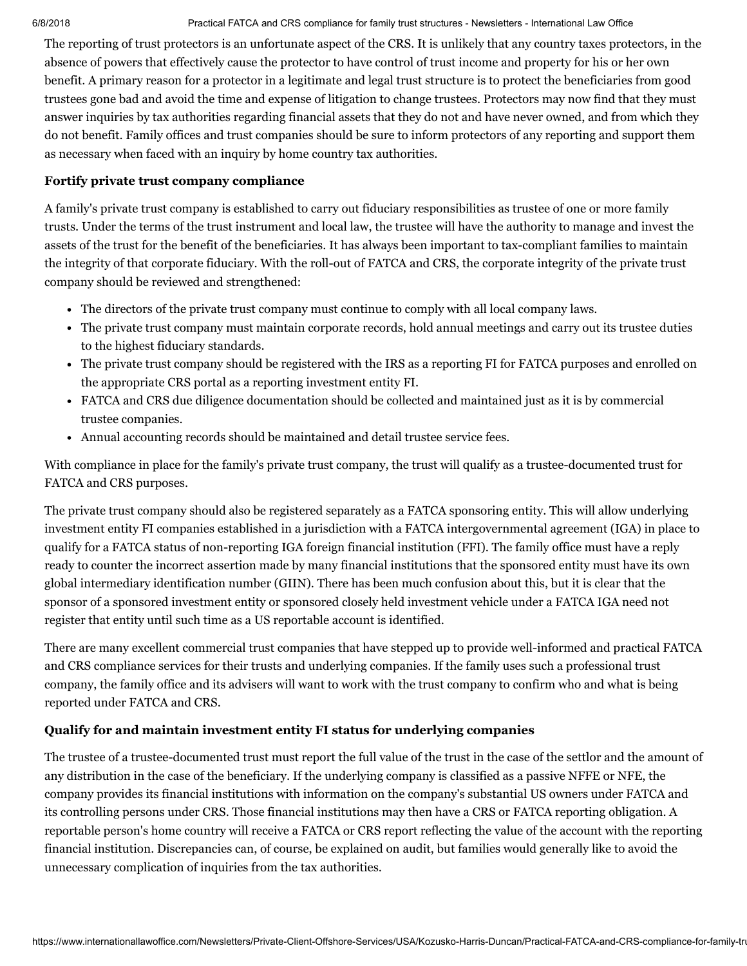The reporting of trust protectors is an unfortunate aspect of the CRS. It is unlikely that any country taxes protectors, in the absence of powers that effectively cause the protector to have control of trust income and property for his or her own benefit. A primary reason for a protector in a legitimate and legal trust structure is to protect the beneficiaries from good trustees gone bad and avoid the time and expense of litigation to change trustees. Protectors may now find that they must answer inquiries by tax authorities regarding financial assets that they do not and have never owned, and from which they do not benefit. Family offices and trust companies should be sure to inform protectors of any reporting and support them as necessary when faced with an inquiry by home country tax authorities.

## <span id="page-2-0"></span>Fortify private trust company compliance

A family's private trust company is established to carry out fiduciary responsibilities as trustee of one or more family trusts. Under the terms of the trust instrument and local law, the trustee will have the authority to manage and invest the assets of the trust for the benefit of the beneficiaries. It has always been important to tax-compliant families to maintain the integrity of that corporate fiduciary. With the roll-out of FATCA and CRS, the corporate integrity of the private trust company should be reviewed and strengthened:

- The directors of the private trust company must continue to comply with all local company laws.
- The private trust company must maintain corporate records, hold annual meetings and carry out its trustee duties to the highest fiduciary standards.
- The private trust company should be registered with the IRS as a reporting FI for FATCA purposes and enrolled on the appropriate CRS portal as a reporting investment entity FI.
- FATCA and CRS due diligence documentation should be collected and maintained just as it is by commercial trustee companies.
- Annual accounting records should be maintained and detail trustee service fees.

With compliance in place for the family's private trust company, the trust will qualify as a trustee-documented trust for FATCA and CRS purposes.

The private trust company should also be registered separately as a FATCA sponsoring entity. This will allow underlying investment entity FI companies established in a jurisdiction with a FATCA intergovernmental agreement (IGA) in place to qualify for a FATCA status of non-reporting IGA foreign financial institution (FFI). The family office must have a reply ready to counter the incorrect assertion made by many financial institutions that the sponsored entity must have its own global intermediary identification number (GIIN). There has been much confusion about this, but it is clear that the sponsor of a sponsored investment entity or sponsored closely held investment vehicle under a FATCA IGA need not register that entity until such time as a US reportable account is identified.

There are many excellent commercial trust companies that have stepped up to provide well-informed and practical FATCA and CRS compliance services for their trusts and underlying companies. If the family uses such a professional trust company, the family office and its advisers will want to work with the trust company to confirm who and what is being reported under FATCA and CRS.

## <span id="page-2-1"></span>Qualify for and maintain investment entity FI status for underlying companies

The trustee of a trustee-documented trust must report the full value of the trust in the case of the settlor and the amount of any distribution in the case of the beneficiary. If the underlying company is classified as a passive NFFE or NFE, the company provides its financial institutions with information on the company's substantial US owners under FATCA and its controlling persons under CRS. Those financial institutions may then have a CRS or FATCA reporting obligation. A reportable person's home country will receive a FATCA or CRS report reflecting the value of the account with the reporting financial institution. Discrepancies can, of course, be explained on audit, but families would generally like to avoid the unnecessary complication of inquiries from the tax authorities.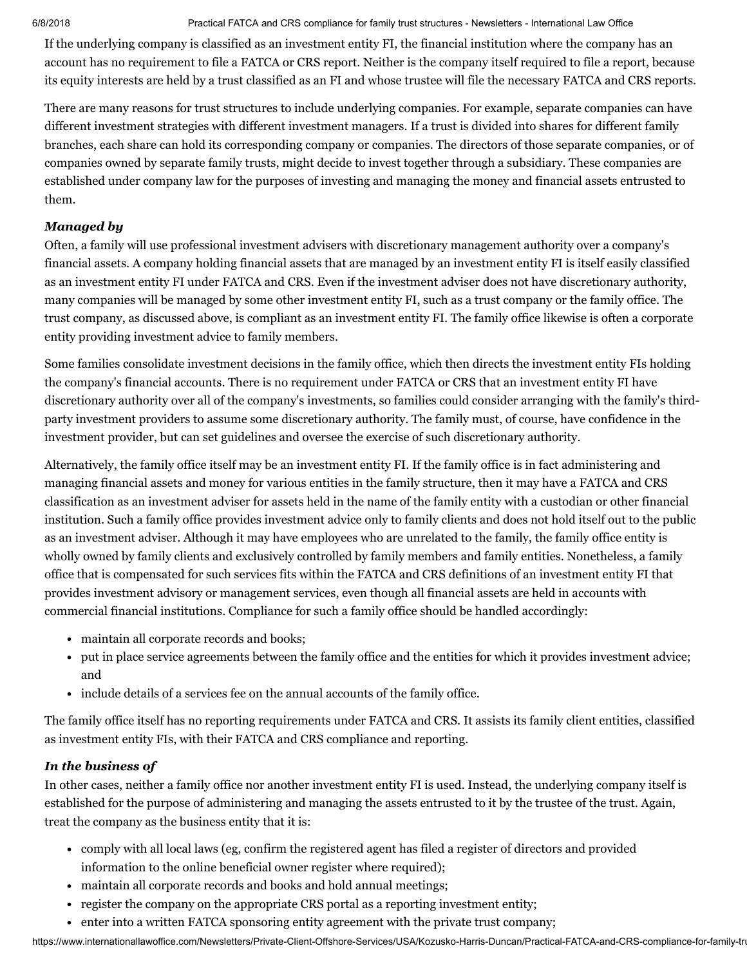If the underlying company is classified as an investment entity FI, the financial institution where the company has an account has no requirement to file a FATCA or CRS report. Neither is the company itself required to file a report, because its equity interests are held by a trust classified as an FI and whose trustee will file the necessary FATCA and CRS reports.

There are many reasons for trust structures to include underlying companies. For example, separate companies can have different investment strategies with different investment managers. If a trust is divided into shares for different family branches, each share can hold its corresponding company or companies. The directors of those separate companies, or of companies owned by separate family trusts, might decide to invest together through a subsidiary. These companies are established under company law for the purposes of investing and managing the money and financial assets entrusted to them.

# *Managed by*

Often, a family will use professional investment advisers with discretionary management authority over a company's financial assets. A company holding financial assets that are managed by an investment entity FI is itself easily classified as an investment entity FI under FATCA and CRS. Even if the investment adviser does not have discretionary authority, many companies will be managed by some other investment entity FI, such as a trust company or the family office. The trust company, as discussed above, is compliant as an investment entity FI. The family office likewise is often a corporate entity providing investment advice to family members.

Some families consolidate investment decisions in the family office, which then directs the investment entity FIs holding the company's financial accounts. There is no requirement under FATCA or CRS that an investment entity FI have discretionary authority over all of the company's investments, so families could consider arranging with the family's thirdparty investment providers to assume some discretionary authority. The family must, of course, have confidence in the investment provider, but can set guidelines and oversee the exercise of such discretionary authority.

Alternatively, the family office itself may be an investment entity FI. If the family office is in fact administering and managing financial assets and money for various entities in the family structure, then it may have a FATCA and CRS classification as an investment adviser for assets held in the name of the family entity with a custodian or other financial institution. Such a family office provides investment advice only to family clients and does not hold itself out to the public as an investment adviser. Although it may have employees who are unrelated to the family, the family office entity is wholly owned by family clients and exclusively controlled by family members and family entities. Nonetheless, a family office that is compensated for such services fits within the FATCA and CRS definitions of an investment entity FI that provides investment advisory or management services, even though all financial assets are held in accounts with commercial financial institutions. Compliance for such a family office should be handled accordingly:

- maintain all corporate records and books;
- put in place service agreements between the family office and the entities for which it provides investment advice; and
- include details of a services fee on the annual accounts of the family office.

The family office itself has no reporting requirements under FATCA and CRS. It assists its family client entities, classified as investment entity FIs, with their FATCA and CRS compliance and reporting.

# *In the business of*

In other cases, neither a family office nor another investment entity FI is used. Instead, the underlying company itself is established for the purpose of administering and managing the assets entrusted to it by the trustee of the trust. Again, treat the company as the business entity that it is:

- comply with all local laws (eg, confirm the registered agent has filed a register of directors and provided information to the online beneficial owner register where required);
- maintain all corporate records and books and hold annual meetings;
- register the company on the appropriate CRS portal as a reporting investment entity;
- enter into a written FATCA sponsoring entity agreement with the private trust company;

https://www.internationallawoffice.com/Newsletters/Private-Client-Offshore-Services/USA/Kozusko-Harris-Duncan/Practical-FATCA-and-CRS-compliance-for-family-tru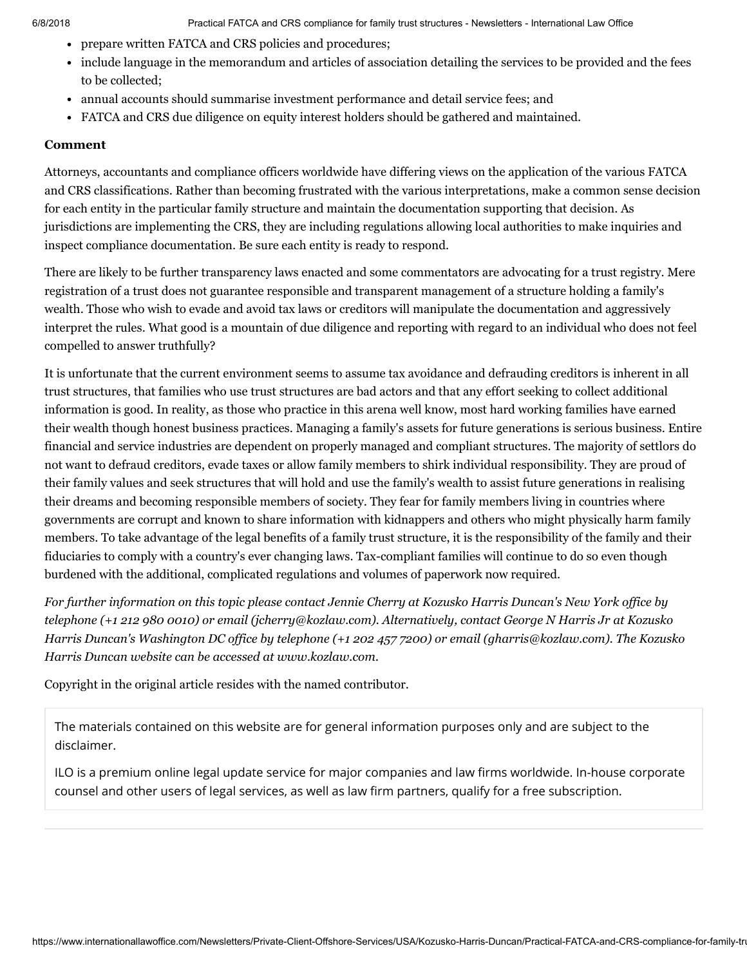- prepare written FATCA and CRS policies and procedures;
- include language in the memorandum and articles of association detailing the services to be provided and the fees to be collected;
- annual accounts should summarise investment performance and detail service fees; and
- FATCA and CRS due diligence on equity interest holders should be gathered and maintained.

### <span id="page-4-0"></span>Comment

Attorneys, accountants and compliance officers worldwide have differing views on the application of the various FATCA and CRS classifications. Rather than becoming frustrated with the various interpretations, make a common sense decision for each entity in the particular family structure and maintain the documentation supporting that decision. As jurisdictions are implementing the CRS, they are including regulations allowing local authorities to make inquiries and inspect compliance documentation. Be sure each entity is ready to respond.

There are likely to be further transparency laws enacted and some commentators are advocating for a trust registry. Mere registration of a trust does not guarantee responsible and transparent management of a structure holding a family's wealth. Those who wish to evade and avoid tax laws or creditors will manipulate the documentation and aggressively interpret the rules. What good is a mountain of due diligence and reporting with regard to an individual who does not feel compelled to answer truthfully?

It is unfortunate that the current environment seems to assume tax avoidance and defrauding creditors is inherent in all trust structures, that families who use trust structures are bad actors and that any effort seeking to collect additional information is good. In reality, as those who practice in this arena well know, most hard working families have earned their wealth though honest business practices. Managing a family's assets for future generations is serious business. Entire financial and service industries are dependent on properly managed and compliant structures. The majority of settlors do not want to defraud creditors, evade taxes or allow family members to shirk individual responsibility. They are proud of their family values and seek structures that will hold and use the family's wealth to assist future generations in realising their dreams and becoming responsible members of society. They fear for family members living in countries where governments are corrupt and known to share information with kidnappers and others who might physically harm family members. To take advantage of the legal benefits of a family trust structure, it is the responsibility of the family and their fiduciaries to comply with a country's ever changing laws. Tax-compliant families will continue to do so even though burdened with the additional, complicated regulations and volumes of paperwork now required.

For further information on this topic please contact Jennie [Cherry](http://www.internationallawoffice.com/directory/biography.aspx?r=36050) at Kozusko Harris Duncan's New York office by telephone (+1 212 980 0010) or email ([jcherry@kozlaw.com](mailto:jcherry@kozlaw.com?subject=Article%20on%20ILO)). Alternatively, contact [George](http://www.internationallawoffice.com/directory/Biography.aspx?g=933547e5-d028-4f2c-a296-1b010d9ee953) N Harris Jr at Kozusko Harris Duncan's Washington DC office by telephone (+1 202 457 7200) or email [\(gharris@kozlaw.com](mailto:gharris@kozlaw.com?subject=Article%20on%20ILO)). The Kozusko *Harris Duncan website can be accessed at [www.kozlaw.com.](http://www.kozlaw.com/)*

Copyright in the original article resides with the named contributor.

The materials contained on this website are for general information purposes only and are subject to the [disclaimer.](https://www.internationallawoffice.com/Information/Disclaimer)

ILO is a premium online legal update service for major companies and law firms worldwide. In-house corporate counsel and other users of legal services, as well as law firm partners, qualify for a free subscription.